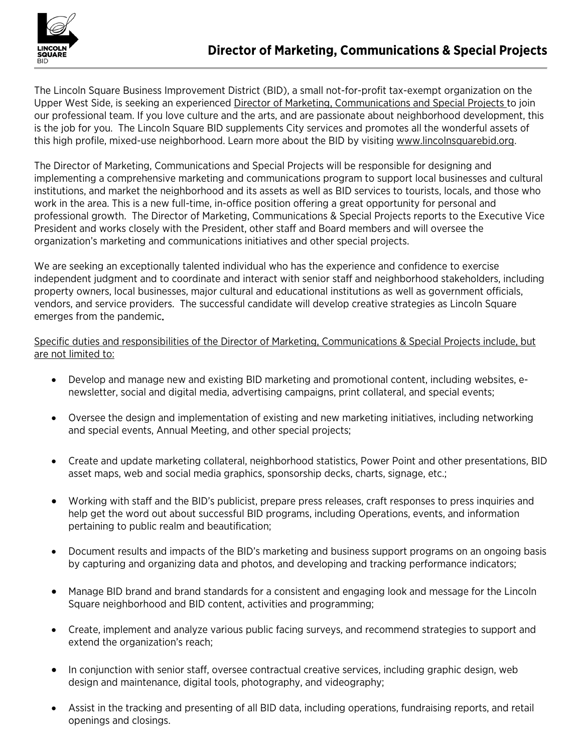

The Lincoln Square Business Improvement District (BID), a small not-for-profit tax-exempt organization on the Upper West Side, is seeking an experienced Director of Marketing, Communications and Special Projects to join our professional team. If you love culture and the arts, and are passionate about neighborhood development, this is the job for you. The Lincoln Square BID supplements City services and promotes all the wonderful assets of this high profile, mixed-use neighborhood. Learn more about the BID by visiting [www.lincolnsquarebid.org.](http://www.lincolnsquarebid.org/)

The Director of Marketing, Communications and Special Projects will be responsible for designing and implementing a comprehensive marketing and communications program to support local businesses and cultural institutions, and market the neighborhood and its assets as well as BID services to tourists, locals, and those who work in the area. This is a new full-time, in-office position offering a great opportunity for personal and professional growth. The Director of Marketing, Communications & Special Projects reports to the Executive Vice President and works closely with the President, other staff and Board members and will oversee the organization's marketing and communications initiatives and other special projects.

We are seeking an exceptionally talented individual who has the experience and confidence to exercise independent judgment and to coordinate and interact with senior staff and neighborhood stakeholders, including property owners, local businesses, major cultural and educational institutions as well as government officials, vendors, and service providers. The successful candidate will develop creative strategies as Lincoln Square emerges from the pandemic.

## Specific duties and responsibilities of the Director of Marketing, Communications & Special Projects include, but are not limited to:

- Develop and manage new and existing BID marketing and promotional content, including websites, enewsletter, social and digital media, advertising campaigns, print collateral, and special events;
- Oversee the design and implementation of existing and new marketing initiatives, including networking and special events, Annual Meeting, and other special projects;
- Create and update marketing collateral, neighborhood statistics, Power Point and other presentations, BID asset maps, web and social media graphics, sponsorship decks, charts, signage, etc.;
- Working with staff and the BID's publicist, prepare press releases, craft responses to press inquiries and help get the word out about successful BID programs, including Operations, events, and information pertaining to public realm and beautification;
- Document results and impacts of the BID's marketing and business support programs on an ongoing basis by capturing and organizing data and photos, and developing and tracking performance indicators;
- Manage BID brand and brand standards for a consistent and engaging look and message for the Lincoln Square neighborhood and BID content, activities and programming;
- Create, implement and analyze various public facing surveys, and recommend strategies to support and extend the organization's reach;
- In conjunction with senior staff, oversee contractual creative services, including graphic design, web design and maintenance, digital tools, photography, and videography;
- Assist in the tracking and presenting of all BID data, including operations, fundraising reports, and retail openings and closings.